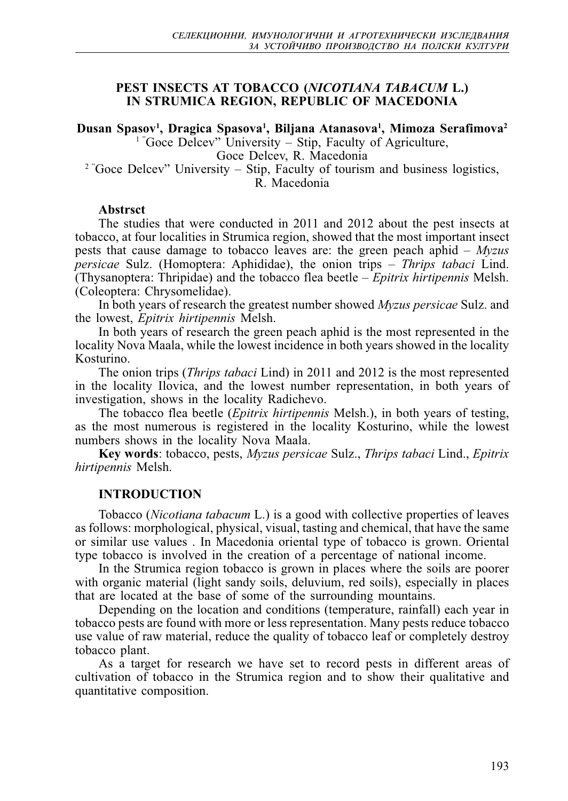## **PEST INSECTS AT TOBACCO (***NICOTIANA TABACUM* **L.) IN STRUMICA REGION, REPUBLIC OF MACEDONIA**

**Dusan Spasov1 , Dragica Spasova1 , Biljana Atanasova1 , Mimoza Serafimova2** <sup>1</sup> "Goce Delcev" University – Stip, Faculty of Agriculture, Goce Delcev, R. Macedonia  $2$ <sup>2</sup> Goce Delcev" University – Stip, Faculty of tourism and business logistics,

R. Macedonia

### **Abstrsct**

The studies that were conducted in 2011 and 2012 about the pest insects at tobacco, at four localities in Strumica region, showed that the most important insect pests that cause damage to tobacco leaves are: the green peach aphid – *Myzus persicae* Sulz. (Homoptera: Aphididae), the onion trips – *Thrips tabaci* Lind. (Thysanoptera: Thripidae) and the tobacco flea beetle – *Epitrix hirtipennis* Melsh. (Coleoptera: Chrysomelidae).

In both years of research the greatest number showed *Myzus persicae* Sulz. and the lowest, *Epitrix hirtipennis* Melsh.

In both years of research the green peach aphid is the most represented in the locality Nova Maala, while the lowest incidence in both years showed in the locality Kosturino.

The onion trips (*Thrips tabaci* Lind) in 2011 and 2012 is the most represented in the locality Ilovica, and the lowest number representation, in both years of investigation, shows in the locality Radichevo.

The tobacco flea beetle (*Epitrix hirtipennis* Melsh.), in both years of testing, as the most numerous is registered in the locality Kosturino, while the lowest numbers shows in the locality Nova Maala.

**Key words**: tobacco, pests, *Myzus persicae* Sulz., *Thrips tabaci* Lind., *Epitrix hirtipennis* Melsh.

# **INTRODUCTION**

Tobacco (*Nicotiana tabacum* L.) is a good with collective properties of leaves as follows: morphological, physical, visual, tasting and chemical, that have the same or similar use values . In Macedonia oriental type of tobacco is grown. Oriental type tobacco is involved in the creation of a percentage of national income.

In the Strumica region tobacco is grown in places where the soils are poorer with organic material (light sandy soils, deluvium, red soils), especially in places that are located at the base of some of the surrounding mountains.

Depending on the location and conditions (temperature, rainfall) each year in tobacco pests are found with more or less representation. Many pests reduce tobacco use value of raw material, reduce the quality of tobacco leaf or completely destroy tobacco plant.

As a target for research we have set to record pests in different areas of cultivation of tobacco in the Strumica region and to show their qualitative and quantitative composition.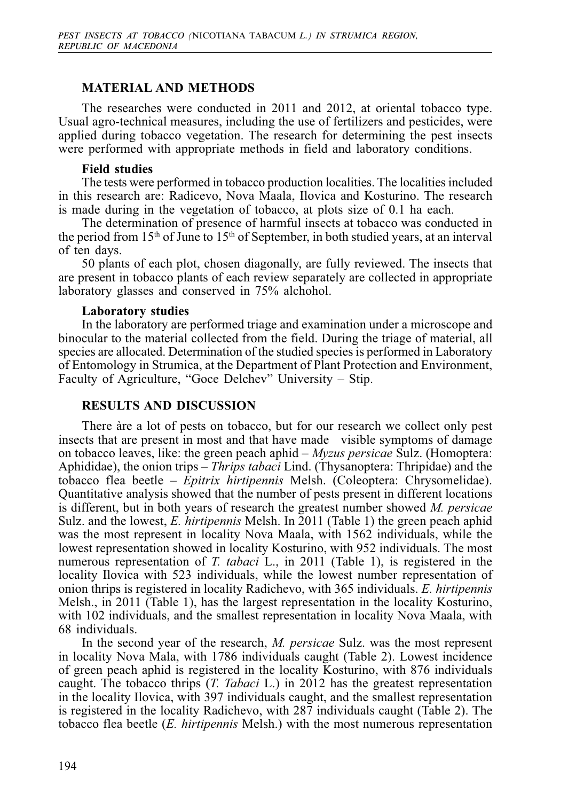### **MATERIAL AND METHODS**

The researches were conducted in 2011 and 2012, at oriental tobacco type. Usual agro-technical measures, including the use of fertilizers and pesticides, were applied during tobacco vegetation. The research for determining the pest insects were performed with appropriate methods in field and laboratory conditions.

#### **Field studies**

The tests were performed in tobacco production localities. The localities included in this research are: Radicevo, Nova Maala, Ilovica and Kosturino. The research is made during in the vegetation of tobacco, at plots size of 0.1 ha each.

The determination of presence of harmful insects at tobacco was conducted in the period from 15<sup>th</sup> of June to 15<sup>th</sup> of September, in both studied years, at an interval of ten days.

50 plants of each plot, chosen diagonally, are fully reviewed. The insects that are present in tobacco plants of each review separately are collected in appropriate laboratory glasses and conserved in 75% alchohol.

### **Laboratory studies**

In the laboratory are performed triage and examination under a microscope and binocular to the material collected from the field. During the triage of material, all species are allocated. Determination of the studied species is performed in Laboratory of Entomology in Strumica, at the Department of Plant Protection and Environment, Faculty of Agriculture, "Goce Delchev" University – Stip.

### **RESULTS AND DISCUSSION**

There àre a lot of pests on tobacco, but for our research we collect only pest insects that are present in most and that have made visible symptoms of damage on tobacco leaves, like: the green peach aphid – *Myzus persicae* Sulz. (Homoptera: Aphididae), the onion trips – *Thrips tabaci* Lind. (Thysanoptera: Thripidae) and the tobacco flea beetle – *Epitrix hirtipennis* Melsh. (Coleoptera: Chrysomelidae). Quantitative analysis showed that the number of pests present in different locations is different, but in both years of research the greatest number showed *M. persicae* Sulz. and the lowest, *E. hirtipennis* Melsh. In 2011 (Table 1) the green peach aphid was the most represent in locality Nova Maala, with 1562 individuals, while the lowest representation showed in locality Kosturino, with 952 individuals. The most numerous representation of *T. tabaci* L., in 2011 (Table 1), is registered in the locality Ilovica with 523 individuals, while the lowest number representation of onion thrips is registered in locality Radichevo, with 365 individuals. *E. hirtipennis* Melsh., in 2011 (Table 1), has the largest representation in the locality Kosturino, with 102 individuals, and the smallest representation in locality Nova Maala, with 68 individuals.

In the second year of the research, *M. persicae* Sulz. was the most represent in locality Nova Mala, with 1786 individuals caught (Table 2). Lowest incidence of green peach aphid is registered in the locality Kosturino, with 876 individuals caught. The tobacco thrips (*T. Tabaci* L.) in 2012 has the greatest representation in the locality Ilovica, with 397 individuals caught, and the smallest representation is registered in the locality Radichevo, with 287 individuals caught (Table 2). The tobacco flea beetle (*E. hirtipennis* Melsh.) with the most numerous representation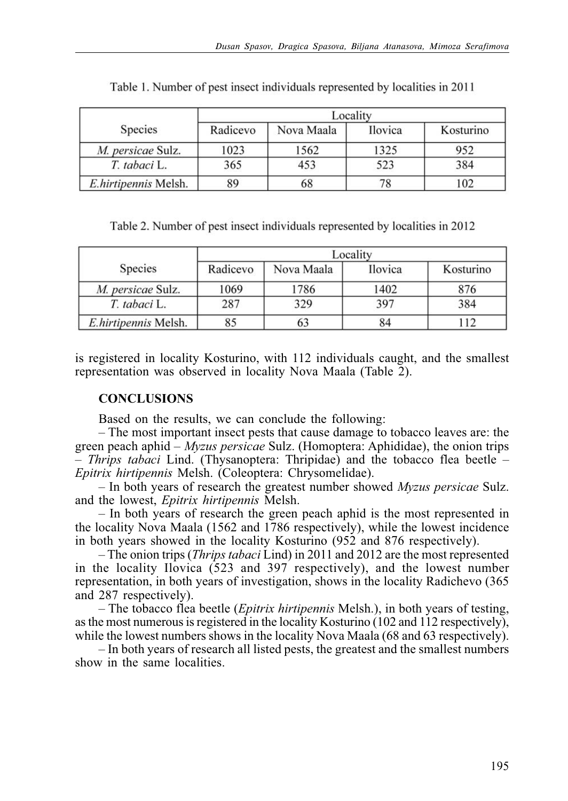|                      | Locality |            |                |           |  |
|----------------------|----------|------------|----------------|-----------|--|
| <b>Species</b>       | Radicevo | Nova Maala | <b>Ilovica</b> | Kosturino |  |
| M. persicae Sulz.    | 1023     | 1562       | 1325           | 952       |  |
| T. tabaci L.         | 365      | 453        | 523            | 384       |  |
| E.hirtipennis Melsh. | 89       | 68         |                | 102       |  |

Table 1. Number of pest insect individuals represented by localities in 2011

Table 2. Number of pest insect individuals represented by localities in 2012

|                      | Locality |            |                |           |  |
|----------------------|----------|------------|----------------|-----------|--|
| Species              | Radicevo | Nova Maala | <b>Ilovica</b> | Kosturino |  |
| M. persicae Sulz.    | 1069     | 1786       | 1402           | 876       |  |
| T. tabaci L.         | 287      | 329        | 397            | 384       |  |
| E.hirtipennis Melsh. | 85       | ob         | 84             | 12        |  |

is registered in locality Kosturino, with 112 individuals caught, and the smallest representation was observed in locality Nova Maala (Table 2).

## **CONCLUSIONS**

Based on the results, we can conclude the following:

– The most important insect pests that cause damage to tobacco leaves are: the green peach aphid – *Myzus persicae* Sulz. (Homoptera: Aphididae), the onion trips – *Thrips tabaci* Lind. (Thysanoptera: Thripidae) and the tobacco flea beetle – *Epitrix hirtipennis* Melsh. (Coleoptera: Chrysomelidae).

– In both years of research the greatest number showed *Myzus persicae* Sulz. and the lowest, *Epitrix hirtipennis* Melsh.

– In both years of research the green peach aphid is the most represented in the locality Nova Maala (1562 and 1786 respectively), while the lowest incidence in both years showed in the locality Kosturino (952 and 876 respectively).

– The onion trips (*Thrips tabaci* Lind) in 2011 and 2012 are the most represented in the locality Ilovica (523 and 397 respectively), and the lowest number representation, in both years of investigation, shows in the locality Radichevo (365 and 287 respectively).

– The tobacco flea beetle (*Epitrix hirtipennis* Melsh.), in both years of testing, as the most numerous is registered in the locality Kosturino (102 and 112 respectively), while the lowest numbers shows in the locality Nova Maala (68 and 63 respectively).

– In both years of research all listed pests, the greatest and the smallest numbers show in the same localities.